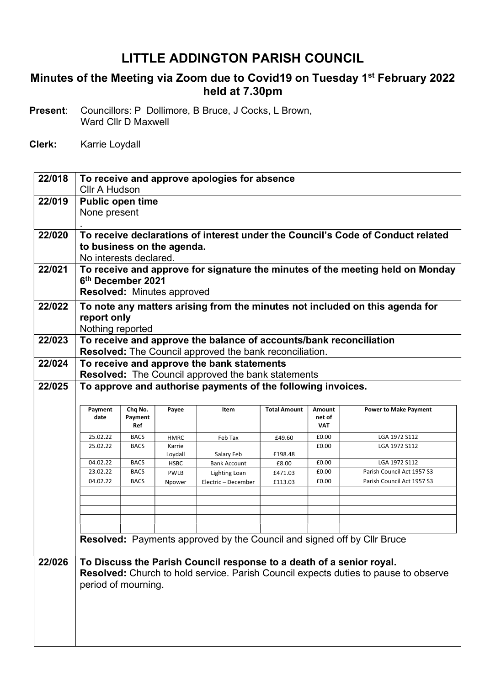## LITTLE ADDINGTON PARISH COUNCIL

## Minutes of the Meeting via Zoom due to Covid19 on Tuesday 1<sup>st</sup> February 2022 held at 7.30pm

Present: Councillors: P Dollimore, B Bruce, J Cocks, L Brown, Ward Cllr D Maxwell

Clerk: Karrie Loydall

| 22/018 | To receive and approve apologies for absence<br><b>Cllr A Hudson</b>            |             |                                   |                                                                      |                     |               |                                                                                     |  |
|--------|---------------------------------------------------------------------------------|-------------|-----------------------------------|----------------------------------------------------------------------|---------------------|---------------|-------------------------------------------------------------------------------------|--|
|        |                                                                                 |             |                                   |                                                                      |                     |               |                                                                                     |  |
| 22/019 | <b>Public open time</b>                                                         |             |                                   |                                                                      |                     |               |                                                                                     |  |
|        | None present                                                                    |             |                                   |                                                                      |                     |               |                                                                                     |  |
|        |                                                                                 |             |                                   |                                                                      |                     |               |                                                                                     |  |
| 22/020 | To receive declarations of interest under the Council's Code of Conduct related |             |                                   |                                                                      |                     |               |                                                                                     |  |
|        | to business on the agenda.                                                      |             |                                   |                                                                      |                     |               |                                                                                     |  |
|        | No interests declared.                                                          |             |                                   |                                                                      |                     |               |                                                                                     |  |
|        |                                                                                 |             |                                   |                                                                      |                     |               |                                                                                     |  |
| 22/021 | To receive and approve for signature the minutes of the meeting held on Monday  |             |                                   |                                                                      |                     |               |                                                                                     |  |
|        | 6 <sup>th</sup> December 2021                                                   |             |                                   |                                                                      |                     |               |                                                                                     |  |
|        |                                                                                 |             | <b>Resolved: Minutes approved</b> |                                                                      |                     |               |                                                                                     |  |
| 22/022 |                                                                                 |             |                                   |                                                                      |                     |               | To note any matters arising from the minutes not included on this agenda for        |  |
|        | report only                                                                     |             |                                   |                                                                      |                     |               |                                                                                     |  |
|        | Nothing reported                                                                |             |                                   |                                                                      |                     |               |                                                                                     |  |
| 22/023 |                                                                                 |             |                                   | To receive and approve the balance of accounts/bank reconciliation   |                     |               |                                                                                     |  |
|        |                                                                                 |             |                                   | <b>Resolved:</b> The Council approved the bank reconciliation.       |                     |               |                                                                                     |  |
| 22/024 |                                                                                 |             |                                   |                                                                      |                     |               |                                                                                     |  |
|        |                                                                                 |             |                                   | To receive and approve the bank statements                           |                     |               |                                                                                     |  |
|        |                                                                                 |             |                                   | <b>Resolved:</b> The Council approved the bank statements            |                     |               |                                                                                     |  |
| 22/025 |                                                                                 |             |                                   | To approve and authorise payments of the following invoices.         |                     |               |                                                                                     |  |
|        |                                                                                 |             |                                   |                                                                      |                     |               |                                                                                     |  |
|        |                                                                                 |             | Payee                             | Item                                                                 | <b>Total Amount</b> | <b>Amount</b> | <b>Power to Make Payment</b>                                                        |  |
|        | Payment                                                                         | Chq No.     |                                   |                                                                      |                     |               |                                                                                     |  |
|        | date                                                                            | Payment     |                                   |                                                                      |                     | net of        |                                                                                     |  |
|        |                                                                                 | Ref         |                                   |                                                                      |                     | <b>VAT</b>    |                                                                                     |  |
|        | 25.02.22                                                                        | <b>BACS</b> | <b>HMRC</b>                       | Feb Tax                                                              | £49.60              | £0.00         | LGA 1972 S112                                                                       |  |
|        | 25.02.22                                                                        | <b>BACS</b> | Karrie                            |                                                                      |                     | £0.00         | LGA 1972 S112                                                                       |  |
|        | 04.02.22                                                                        | <b>BACS</b> | Loydall                           | Salary Feb                                                           | £198.48             | £0.00         | LGA 1972 S112                                                                       |  |
|        | 23.02.22                                                                        | <b>BACS</b> | <b>HSBC</b><br><b>PWLB</b>        | <b>Bank Account</b>                                                  | £8.00<br>£471.03    | £0.00         | Parish Council Act 1957 S3                                                          |  |
|        | 04.02.22                                                                        | <b>BACS</b> | Npower                            | Lighting Loan<br>Electric - December                                 | £113.03             | £0.00         | Parish Council Act 1957 S3                                                          |  |
|        |                                                                                 |             |                                   |                                                                      |                     |               |                                                                                     |  |
|        |                                                                                 |             |                                   |                                                                      |                     |               |                                                                                     |  |
|        |                                                                                 |             |                                   |                                                                      |                     |               |                                                                                     |  |
|        |                                                                                 |             |                                   |                                                                      |                     |               |                                                                                     |  |
|        |                                                                                 |             |                                   |                                                                      |                     |               |                                                                                     |  |
|        |                                                                                 |             |                                   |                                                                      |                     |               | Resolved: Payments approved by the Council and signed off by Cllr Bruce             |  |
|        |                                                                                 |             |                                   |                                                                      |                     |               |                                                                                     |  |
| 22/026 |                                                                                 |             |                                   | To Discuss the Parish Council response to a death of a senior royal. |                     |               |                                                                                     |  |
|        |                                                                                 |             |                                   |                                                                      |                     |               | Resolved: Church to hold service. Parish Council expects duties to pause to observe |  |
|        | period of mourning.                                                             |             |                                   |                                                                      |                     |               |                                                                                     |  |
|        |                                                                                 |             |                                   |                                                                      |                     |               |                                                                                     |  |
|        |                                                                                 |             |                                   |                                                                      |                     |               |                                                                                     |  |
|        |                                                                                 |             |                                   |                                                                      |                     |               |                                                                                     |  |
|        |                                                                                 |             |                                   |                                                                      |                     |               |                                                                                     |  |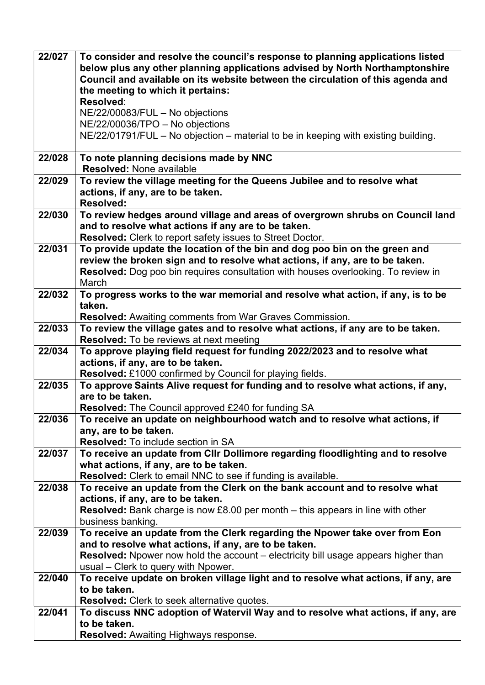| 22/027 | To consider and resolve the council's response to planning applications listed                                                                                  |  |  |  |  |  |  |
|--------|-----------------------------------------------------------------------------------------------------------------------------------------------------------------|--|--|--|--|--|--|
|        | below plus any other planning applications advised by North Northamptonshire<br>Council and available on its website between the circulation of this agenda and |  |  |  |  |  |  |
|        | the meeting to which it pertains:                                                                                                                               |  |  |  |  |  |  |
|        | Resolved:                                                                                                                                                       |  |  |  |  |  |  |
|        | NE/22/00083/FUL - No objections                                                                                                                                 |  |  |  |  |  |  |
|        | NE/22/00036/TPO - No objections                                                                                                                                 |  |  |  |  |  |  |
|        | NE/22/01791/FUL - No objection - material to be in keeping with existing building.                                                                              |  |  |  |  |  |  |
|        |                                                                                                                                                                 |  |  |  |  |  |  |
| 22/028 | To note planning decisions made by NNC                                                                                                                          |  |  |  |  |  |  |
|        | <b>Resolved: None available</b>                                                                                                                                 |  |  |  |  |  |  |
| 22/029 | To review the village meeting for the Queens Jubilee and to resolve what                                                                                        |  |  |  |  |  |  |
|        | actions, if any, are to be taken.<br><b>Resolved:</b>                                                                                                           |  |  |  |  |  |  |
| 22/030 | To review hedges around village and areas of overgrown shrubs on Council land                                                                                   |  |  |  |  |  |  |
|        | and to resolve what actions if any are to be taken.                                                                                                             |  |  |  |  |  |  |
|        | Resolved: Clerk to report safety issues to Street Doctor.                                                                                                       |  |  |  |  |  |  |
| 22/031 | To provide update the location of the bin and dog poo bin on the green and                                                                                      |  |  |  |  |  |  |
|        | review the broken sign and to resolve what actions, if any, are to be taken.                                                                                    |  |  |  |  |  |  |
|        | Resolved: Dog poo bin requires consultation with houses overlooking. To review in                                                                               |  |  |  |  |  |  |
|        | March                                                                                                                                                           |  |  |  |  |  |  |
| 22/032 | To progress works to the war memorial and resolve what action, if any, is to be                                                                                 |  |  |  |  |  |  |
|        | taken.                                                                                                                                                          |  |  |  |  |  |  |
| 22/033 | <b>Resolved:</b> Awaiting comments from War Graves Commission.                                                                                                  |  |  |  |  |  |  |
|        | To review the village gates and to resolve what actions, if any are to be taken.<br><b>Resolved:</b> To be reviews at next meeting                              |  |  |  |  |  |  |
| 22/034 | To approve playing field request for funding 2022/2023 and to resolve what                                                                                      |  |  |  |  |  |  |
|        | actions, if any, are to be taken.                                                                                                                               |  |  |  |  |  |  |
|        | Resolved: £1000 confirmed by Council for playing fields.                                                                                                        |  |  |  |  |  |  |
| 22/035 | To approve Saints Alive request for funding and to resolve what actions, if any,                                                                                |  |  |  |  |  |  |
|        | are to be taken.                                                                                                                                                |  |  |  |  |  |  |
|        | <b>Resolved:</b> The Council approved £240 for funding SA                                                                                                       |  |  |  |  |  |  |
| 22/036 | To receive an update on neighbourhood watch and to resolve what actions, if                                                                                     |  |  |  |  |  |  |
|        | any, are to be taken.                                                                                                                                           |  |  |  |  |  |  |
|        | <b>Resolved:</b> To include section in SA                                                                                                                       |  |  |  |  |  |  |
| 22/037 | To receive an update from Cllr Dollimore regarding floodlighting and to resolve<br>what actions, if any, are to be taken.                                       |  |  |  |  |  |  |
|        | Resolved: Clerk to email NNC to see if funding is available.                                                                                                    |  |  |  |  |  |  |
| 22/038 | To receive an update from the Clerk on the bank account and to resolve what                                                                                     |  |  |  |  |  |  |
|        | actions, if any, are to be taken.                                                                                                                               |  |  |  |  |  |  |
|        | <b>Resolved:</b> Bank charge is now £8.00 per month – this appears in line with other                                                                           |  |  |  |  |  |  |
|        | business banking.                                                                                                                                               |  |  |  |  |  |  |
| 22/039 | To receive an update from the Clerk regarding the Npower take over from Eon                                                                                     |  |  |  |  |  |  |
|        | and to resolve what actions, if any, are to be taken.                                                                                                           |  |  |  |  |  |  |
|        | Resolved: Npower now hold the account - electricity bill usage appears higher than                                                                              |  |  |  |  |  |  |
|        | usual – Clerk to query with Npower.                                                                                                                             |  |  |  |  |  |  |
| 22/040 | To receive update on broken village light and to resolve what actions, if any, are<br>to be taken.                                                              |  |  |  |  |  |  |
|        | <b>Resolved:</b> Clerk to seek alternative quotes.                                                                                                              |  |  |  |  |  |  |
| 22/041 | To discuss NNC adoption of Watervil Way and to resolve what actions, if any, are                                                                                |  |  |  |  |  |  |
|        | to be taken.                                                                                                                                                    |  |  |  |  |  |  |
|        | <b>Resolved:</b> Awaiting Highways response.                                                                                                                    |  |  |  |  |  |  |